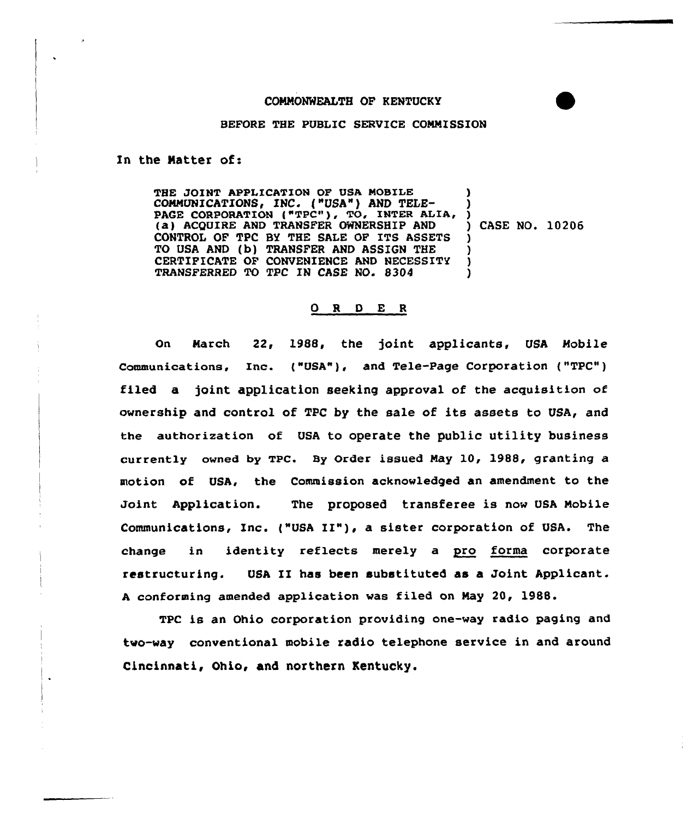## COMMONWEALTH OF KENTUCKY

## BEFORE THE PUBLIC SERVICE COMMISSION

In the Natter of:

THE JOINT APPLICATION OF USA MOBILE COMMUNICATIONS, INC. ("USA") AND TELE-COMMUNICATIONS, INC. ("USA") AND TELE-<br>PAGE CORPORATION ("TPC"), TO, INTER ALIA, ) (a) ACQUIRE AND TRANSFER CWNERSHIP AND CONTROL OF TPC BY THE SALE OF ITS ASSETS TO USA AND (b) TRANSFER AND ASSIGN THE CERTIFICATE OF CONVENIENCE AND NECESSITY TRANSFERRED TO TPC XN CASE NO. 8304 ) ) ) CASE NO. 10206 ) ) ) )

## O R D E R

On March 22, 1988, the joint applicants, USA Mobile Communications. Inc. ("USA"), and Tele-Page Corporation ("TPC") filed a joint application seeking approval of the acguisition of ownership and control of TPC by the sale of its assets to USA, and the authorization of USA to operate the public utility business currently owned by TPC. By Order issued May 10, 1988, granting a motion of USA, the Commission acknowledged an amendment to the Joint Application. The proposed transferee is now USA Mobile Communications, Inc. ("USA II"), <sup>a</sup> sister corporation of USA. The change in identity reflects merely a pro forma corporate restructuring. USA II has been substituted as a Joint Applicant. <sup>A</sup> conforming amended application was filed on May 20, 1988.

TPC is an Ohio corporation providing one-way radio paging and two-way conventional mobile radio telephone service in and around Cincinnati, Ohio, and northern Kentucky.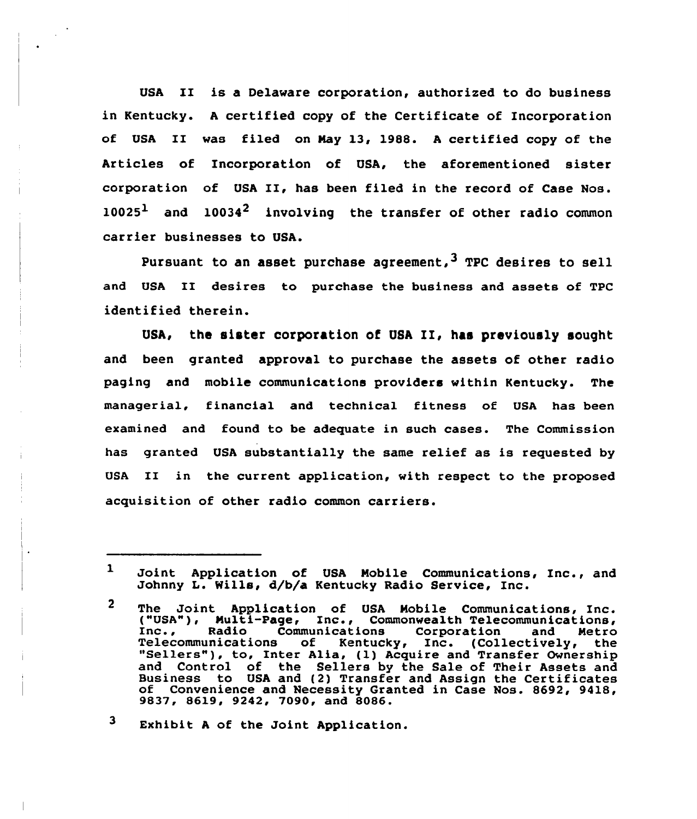USA II is <sup>a</sup> Delaware corporation, authorized to do business in Kentucky. <sup>A</sup> certified copy of the Certificate of Incorporation of USA II was filed on May 13, 1988. <sup>A</sup> certified copy of the Articles of Incorporation of USA, the aforementioned sister corporation of USA II, has been filed in the record of Case Nos.  $10025<sup>1</sup>$  and  $10034<sup>2</sup>$  involving the transfer of other radio common carrier businesses to USA.

Pursuant to an asset purchase agreement,  $3$  TPC desires to sell and USA II desires to purchase the business and assets of TPC identified therein.

USA, the sister corporation of USA II, has previously sought and been granted approval to purchase the assets of other radio paging and mobile communications providers within Kentucky. The managerial, financial and technical fitness of USA has been examined and found to be adequate in such cases. The Commission has granted USA substantially the same relief as is requested by USA II in the current application, with respect to the proposed acquisition of other radio common carriers.

3 Exhibit <sup>A</sup> of the Joint Application.

 $\mathbf{1}$ Joint Application of USA Mobile Communications, Inc., and Johnny L. Wills, d/b/a Kentucky Radio Service, Inc.

 $\mathbf{2}$ The Joint Application of USA Mobile Communications, Inc. ("USA"), Multi-Page, Inc., Commonwealth Telecommunications, Inc., Radio Communications Corporation and Metro Telecommunications of Kentucky, Inc. (Collectively, the "Sellers"), to, Inter Alia, (1) Acquire and Transfer Ownership and Control of the Sellers by the Sale of Their Assets and Business to USA and (2) Transfer and Assign the Certificates of Convenience and Necessity Granted in Case Nos. 8692, 9418, 9837, 8619, 9242, 7090, and 8086.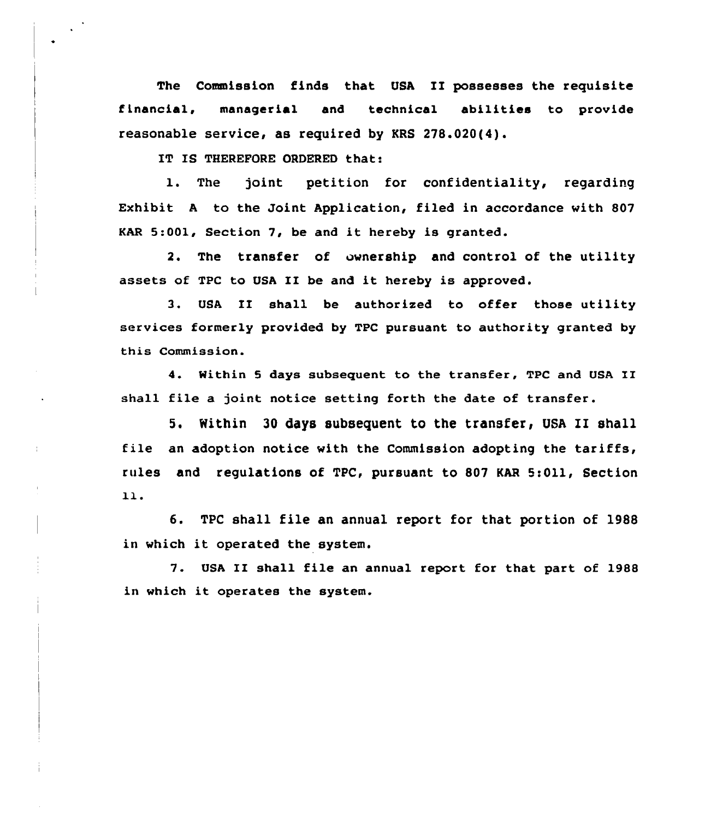The Commission finds that USA II possesses the requisite f Lnancial, managerial and technical abilities to provide reasonable service, as required by KRS 278.020(4).

IT IS THEREFQRE ORDERED that:

 $\frac{1}{4}$ 

1. The joint petition for confidentiality, regarding Exhibit <sup>A</sup> to the Joint Application, filed in accordance with 807 EAR 5:001, Section 7, be and it hereby is granted.

2. The transfer of ownership and control of the utility assets of TPC to USA II be and it hereby is approved.

3. USA II shall be authorized to offer those utility services formerly provided by TPC pursuant to authority granted by this Commission.

4. Within <sup>5</sup> days subsequent to the transfer, TPC and USA II shall file a joint notice setting forth the date of transfer.

5. Nithin <sup>30</sup> days subsequent to the transfer, USA II shall file an adoption notice with the Commission adopting the tariffs, rules and regulations of TPC, pursuant to 807 KAR 5:Oll, Section 11.

6. TPC shall file an annual report for that portion of 1988 in which it operated the system.

7. USA II shall file an annual report for that part of 1988 in which it operates the system.